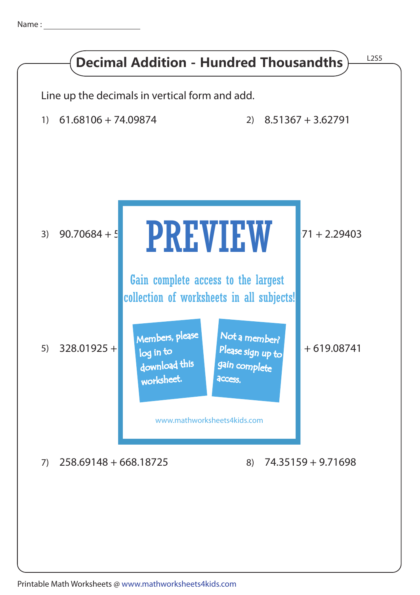